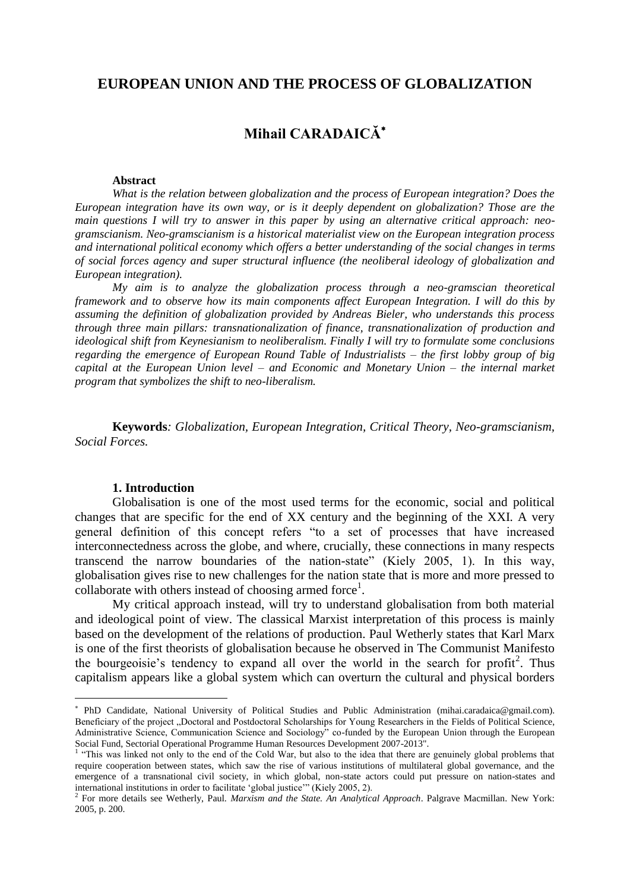## **EUROPEAN UNION AND THE PROCESS OF GLOBALIZATION**

# **Mihail CARADAICĂ**

### **Abstract**

*What is the relation between globalization and the process of European integration? Does the European integration have its own way, or is it deeply dependent on globalization? Those are the main questions I will try to answer in this paper by using an alternative critical approach: neogramscianism. Neo-gramscianism is a historical materialist view on the European integration process and international political economy which offers a better understanding of the social changes in terms of social forces agency and super structural influence (the neoliberal ideology of globalization and European integration).*

*My aim is to analyze the globalization process through a neo-gramscian theoretical framework and to observe how its main components affect European Integration. I will do this by assuming the definition of globalization provided by Andreas Bieler, who understands this process through three main pillars: transnationalization of finance, transnationalization of production and ideological shift from Keynesianism to neoliberalism. Finally I will try to formulate some conclusions regarding the emergence of European Round Table of Industrialists – the first lobby group of big capital at the European Union level – and Economic and Monetary Union – the internal market program that symbolizes the shift to neo-liberalism.*

**Keywords***: Globalization, European Integration, Critical Theory, Neo-gramscianism, Social Forces.*

### **1. Introduction**

 $\overline{a}$ 

Globalisation is one of the most used terms for the economic, social and political changes that are specific for the end of XX century and the beginning of the XXI. A very general definition of this concept refers "to a set of processes that have increased interconnectedness across the globe, and where, crucially, these connections in many respects transcend the narrow boundaries of the nation-state" (Kiely 2005, 1). In this way, globalisation gives rise to new challenges for the nation state that is more and more pressed to collaborate with others instead of choosing armed force<sup>1</sup>.

My critical approach instead, will try to understand globalisation from both material and ideological point of view. The classical Marxist interpretation of this process is mainly based on the development of the relations of production. Paul Wetherly states that Karl Marx is one of the first theorists of globalisation because he observed in The Communist Manifesto the bourgeoisie's tendency to expand all over the world in the search for profit<sup>2</sup>. Thus capitalism appears like a global system which can overturn the cultural and physical borders

PhD Candidate, National University of Political Studies and Public Administration (mihai.caradaica@gmail.com). Beneficiary of the project "Doctoral and Postdoctoral Scholarships for Young Researchers in the Fields of Political Science, Administrative Science, Communication Science and Sociology" co-funded by the European Union through the European Social Fund, Sectorial Operational Programme Human Resources Development 2007-2013".

<sup>&</sup>lt;sup>1</sup> "This was linked not only to the end of the Cold War, but also to the idea that there are genuinely global problems that require cooperation between states, which saw the rise of various institutions of multilateral global governance, and the emergence of a transnational civil society, in which global, non-state actors could put pressure on nation-states and international institutions in order to facilitate 'global justice'" (Kiely 2005, 2).

<sup>2</sup> For more details see Wetherly, Paul. *Marxism and the State. An Analytical Approach*. Palgrave Macmillan. New York: 2005, p. 200.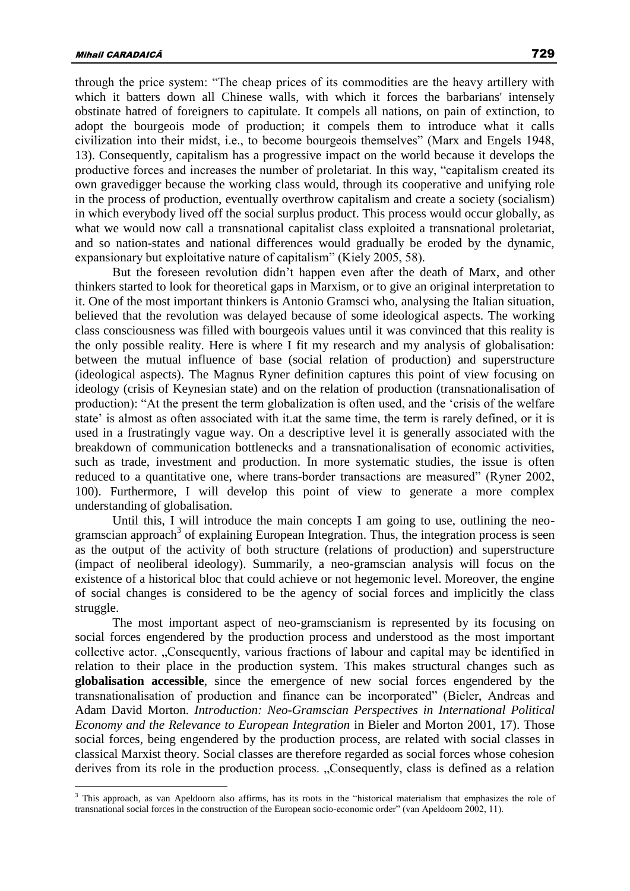through the price system: "The cheap prices of its commodities are the heavy artillery with which it batters down all Chinese walls, with which it forces the barbarians' intensely obstinate hatred of foreigners to capitulate. It compels all nations, on pain of extinction, to adopt the bourgeois mode of production; it compels them to introduce what it calls civilization into their midst, i.e., to become bourgeois themselves" (Marx and Engels 1948, 13). Consequently, capitalism has a progressive impact on the world because it develops the productive forces and increases the number of proletariat. In this way, "capitalism created its own gravedigger because the working class would, through its cooperative and unifying role in the process of production, eventually overthrow capitalism and create a society (socialism) in which everybody lived off the social surplus product. This process would occur globally, as what we would now call a transnational capitalist class exploited a transnational proletariat, and so nation-states and national differences would gradually be eroded by the dynamic, expansionary but exploitative nature of capitalism" (Kiely 2005, 58).

But the foreseen revolution didn't happen even after the death of Marx, and other thinkers started to look for theoretical gaps in Marxism, or to give an original interpretation to it. One of the most important thinkers is Antonio Gramsci who, analysing the Italian situation, believed that the revolution was delayed because of some ideological aspects. The working class consciousness was filled with bourgeois values until it was convinced that this reality is the only possible reality. Here is where I fit my research and my analysis of globalisation: between the mutual influence of base (social relation of production) and superstructure (ideological aspects). The Magnus Ryner definition captures this point of view focusing on ideology (crisis of Keynesian state) and on the relation of production (transnationalisation of production): "At the present the term globalization is often used, and the 'crisis of the welfare state' is almost as often associated with it.at the same time, the term is rarely defined, or it is used in a frustratingly vague way. On a descriptive level it is generally associated with the breakdown of communication bottlenecks and a transnationalisation of economic activities, such as trade, investment and production. In more systematic studies, the issue is often reduced to a quantitative one, where trans-border transactions are measured" (Ryner 2002, 100). Furthermore, I will develop this point of view to generate a more complex understanding of globalisation.

Until this, I will introduce the main concepts I am going to use, outlining the neogramscian approach<sup>3</sup> of explaining European Integration. Thus, the integration process is seen as the output of the activity of both structure (relations of production) and superstructure (impact of neoliberal ideology). Summarily, a neo-gramscian analysis will focus on the existence of a historical bloc that could achieve or not hegemonic level. Moreover, the engine of social changes is considered to be the agency of social forces and implicitly the class struggle.

The most important aspect of neo-gramscianism is represented by its focusing on social forces engendered by the production process and understood as the most important collective actor. "Consequently, various fractions of labour and capital may be identified in relation to their place in the production system. This makes structural changes such as **globalisation accessible**, since the emergence of new social forces engendered by the transnationalisation of production and finance can be incorporated" (Bieler, Andreas and Adam David Morton. *Introduction: Neo-Gramscian Perspectives in International Political Economy and the Relevance to European Integration* in Bieler and Morton 2001, 17). Those social forces, being engendered by the production process, are related with social classes in classical Marxist theory. Social classes are therefore regarded as social forces whose cohesion derives from its role in the production process. "Consequently, class is defined as a relation

<sup>&</sup>lt;sup>3</sup> This approach, as van Apeldoorn also affirms, has its roots in the "historical materialism that emphasizes the role of transnational social forces in the construction of the European socio-economic order" (van Apeldoorn 2002, 11).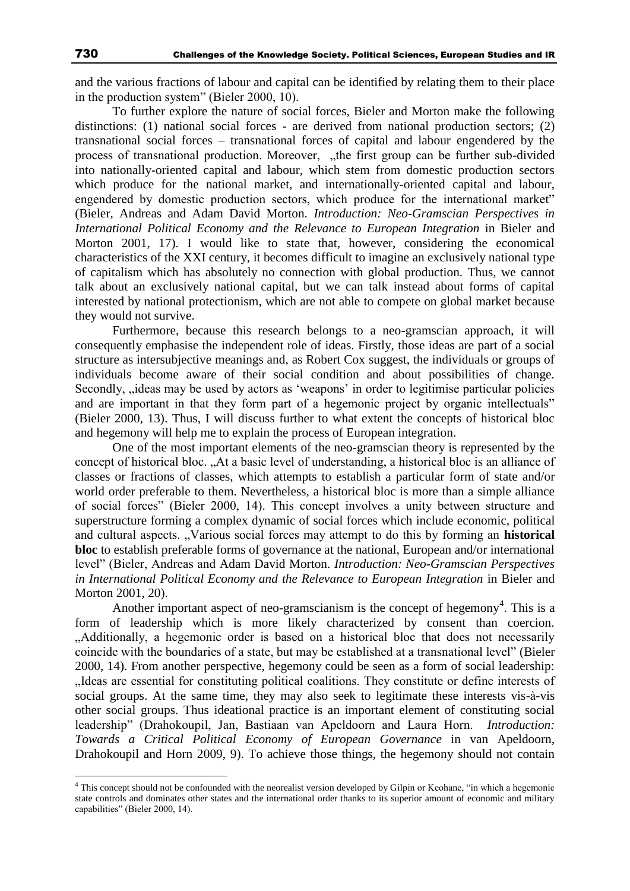and the various fractions of labour and capital can be identified by relating them to their place in the production system" (Bieler 2000, 10).

To further explore the nature of social forces, Bieler and Morton make the following distinctions: (1) national social forces - are derived from national production sectors; (2) transnational social forces – transnational forces of capital and labour engendered by the process of transnational production. Moreover, "the first group can be further sub-divided into nationally-oriented capital and labour, which stem from domestic production sectors which produce for the national market, and internationally-oriented capital and labour, engendered by domestic production sectors, which produce for the international market" (Bieler, Andreas and Adam David Morton. *Introduction: Neo-Gramscian Perspectives in International Political Economy and the Relevance to European Integration* in Bieler and Morton 2001, 17). I would like to state that, however, considering the economical characteristics of the XXI century, it becomes difficult to imagine an exclusively national type of capitalism which has absolutely no connection with global production. Thus, we cannot talk about an exclusively national capital, but we can talk instead about forms of capital interested by national protectionism, which are not able to compete on global market because they would not survive.

Furthermore, because this research belongs to a neo-gramscian approach, it will consequently emphasise the independent role of ideas. Firstly, those ideas are part of a social structure as intersubjective meanings and, as Robert Cox suggest, the individuals or groups of individuals become aware of their social condition and about possibilities of change. Secondly,  $i$  deas may be used by actors as 'weapons' in order to legitimise particular policies and are important in that they form part of a hegemonic project by organic intellectuals" (Bieler 2000, 13). Thus, I will discuss further to what extent the concepts of historical bloc and hegemony will help me to explain the process of European integration.

One of the most important elements of the neo-gramscian theory is represented by the concept of historical bloc. "At a basic level of understanding, a historical bloc is an alliance of classes or fractions of classes, which attempts to establish a particular form of state and/or world order preferable to them. Nevertheless, a historical bloc is more than a simple alliance of social forces" (Bieler 2000, 14). This concept involves a unity between structure and superstructure forming a complex dynamic of social forces which include economic, political and cultural aspects. "Various social forces may attempt to do this by forming an **historical bloc** to establish preferable forms of governance at the national, European and/or international level" (Bieler, Andreas and Adam David Morton. *Introduction: Neo-Gramscian Perspectives in International Political Economy and the Relevance to European Integration* in Bieler and Morton 2001, 20).

Another important aspect of neo-gramscianism is the concept of hegemony<sup>4</sup>. This is a form of leadership which is more likely characterized by consent than coercion. "Additionally, a hegemonic order is based on a historical bloc that does not necessarily coincide with the boundaries of a state, but may be established at a transnational level" (Bieler 2000, 14). From another perspective, hegemony could be seen as a form of social leadership: "Ideas are essential for constituting political coalitions. They constitute or define interests of social groups. At the same time, they may also seek to legitimate these interests vis-à-vis other social groups. Thus ideational practice is an important element of constituting social leadership" (Drahokoupil, Jan, Bastiaan van Apeldoorn and Laura Horn. *Introduction: Towards a Critical Political Economy of European Governance* in van Apeldoorn, Drahokoupil and Horn 2009, 9). To achieve those things, the hegemony should not contain

<sup>4</sup> This concept should not be confounded with the neorealist version developed by Gilpin or Keohane, "in which a hegemonic state controls and dominates other states and the international order thanks to its superior amount of economic and military capabilities" (Bieler 2000, 14).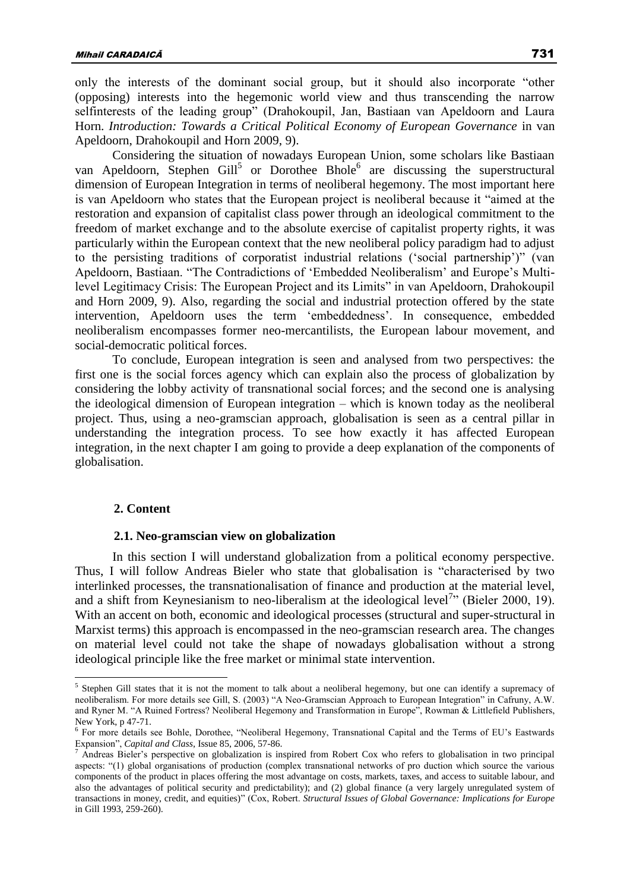only the interests of the dominant social group, but it should also incorporate "other (opposing) interests into the hegemonic world view and thus transcending the narrow selfinterests of the leading group" (Drahokoupil, Jan, Bastiaan van Apeldoorn and Laura Horn. *Introduction: Towards a Critical Political Economy of European Governance* in van Apeldoorn, Drahokoupil and Horn 2009, 9).

Considering the situation of nowadays European Union, some scholars like Bastiaan van Apeldoorn, Stephen Gill<sup>5</sup> or Dorothee Bhole<sup>6</sup> are discussing the superstructural dimension of European Integration in terms of neoliberal hegemony. The most important here is van Apeldoorn who states that the European project is neoliberal because it "aimed at the restoration and expansion of capitalist class power through an ideological commitment to the freedom of market exchange and to the absolute exercise of capitalist property rights, it was particularly within the European context that the new neoliberal policy paradigm had to adjust to the persisting traditions of corporatist industrial relations ('social partnership')" (van Apeldoorn, Bastiaan. "The Contradictions of 'Embedded Neoliberalism' and Europe's Multilevel Legitimacy Crisis: The European Project and its Limits" in van Apeldoorn, Drahokoupil and Horn 2009, 9). Also, regarding the social and industrial protection offered by the state intervention, Apeldoorn uses the term 'embeddedness'. In consequence, embedded neoliberalism encompasses former neo-mercantilists, the European labour movement, and social-democratic political forces.

To conclude, European integration is seen and analysed from two perspectives: the first one is the social forces agency which can explain also the process of globalization by considering the lobby activity of transnational social forces; and the second one is analysing the ideological dimension of European integration – which is known today as the neoliberal project. Thus, using a neo-gramscian approach, globalisation is seen as a central pillar in understanding the integration process. To see how exactly it has affected European integration, in the next chapter I am going to provide a deep explanation of the components of globalisation.

### **2. Content**

 $\overline{a}$ 

### **2.1. Neo-gramscian view on globalization**

In this section I will understand globalization from a political economy perspective. Thus, I will follow Andreas Bieler who state that globalisation is "characterised by two interlinked processes, the transnationalisation of finance and production at the material level, and a shift from Keynesianism to neo-liberalism at the ideological level<sup>7</sup><sup>,</sup> (Bieler 2000, 19). With an accent on both, economic and ideological processes (structural and super-structural in Marxist terms) this approach is encompassed in the neo-gramscian research area. The changes on material level could not take the shape of nowadays globalisation without a strong ideological principle like the free market or minimal state intervention.

<sup>&</sup>lt;sup>5</sup> Stephen Gill states that it is not the moment to talk about a neoliberal hegemony, but one can identify a supremacy of neoliberalism. For more details see Gill, S. (2003) "A Neo-Gramscian Approach to European Integration" in Cafruny, A.W. and Ryner M. "A Ruined Fortress? Neoliberal Hegemony and Transformation in Europe", Rowman & Littlefield Publishers, New York, p 47-71.

<sup>6</sup> For more details see Bohle, Dorothee, "Neoliberal Hegemony, Transnational Capital and the Terms of EU's Eastwards Expansion", *Capital and Class*, Issue 85, 2006, 57-86.

 $^7$  Andreas Bieler's perspective on globalization is inspired from Robert Cox who refers to globalisation in two principal aspects: "(1) global organisations of production (complex transnational networks of pro duction which source the various components of the product in places offering the most advantage on costs, markets, taxes, and access to suitable labour, and also the advantages of political security and predictability); and (2) global finance (a very largely unregulated system of transactions in money, credit, and equities)" (Cox, Robert. *Structural Issues of Global Governance: Implications for Europe* in Gill 1993, 259-260).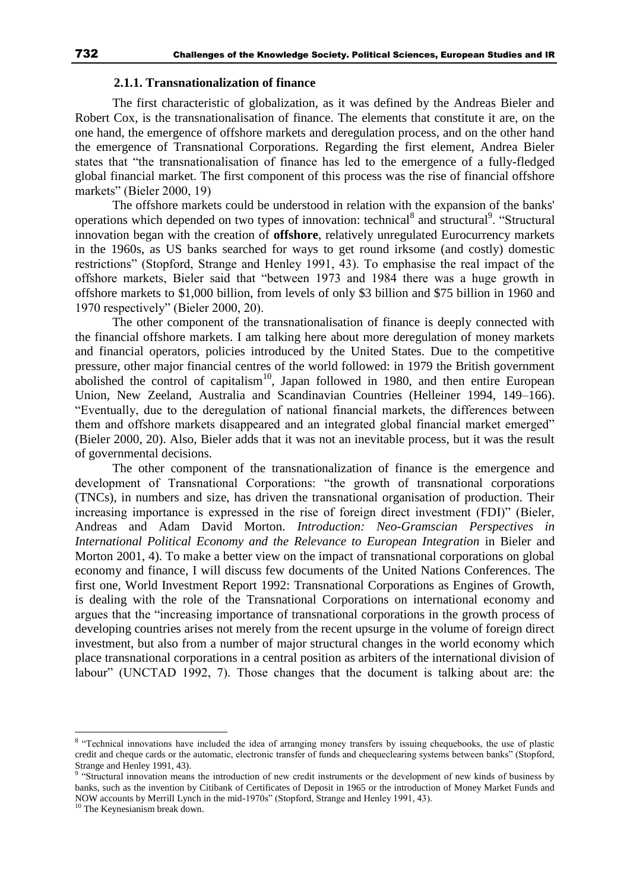### **2.1.1. Transnationalization of finance**

The first characteristic of globalization, as it was defined by the Andreas Bieler and Robert Cox, is the transnationalisation of finance. The elements that constitute it are, on the one hand, the emergence of offshore markets and deregulation process, and on the other hand the emergence of Transnational Corporations. Regarding the first element, Andrea Bieler states that "the transnationalisation of finance has led to the emergence of a fully-fledged global financial market. The first component of this process was the rise of financial offshore markets" (Bieler 2000, 19)

The offshore markets could be understood in relation with the expansion of the banks' operations which depended on two types of innovation: technical<sup>8</sup> and structural<sup>9</sup>. "Structural innovation began with the creation of **offshore**, relatively unregulated Eurocurrency markets in the 1960s, as US banks searched for ways to get round irksome (and costly) domestic restrictions" (Stopford, Strange and Henley 1991, 43). To emphasise the real impact of the offshore markets, Bieler said that "between 1973 and 1984 there was a huge growth in offshore markets to \$1,000 billion, from levels of only \$3 billion and \$75 billion in 1960 and 1970 respectively" (Bieler 2000, 20).

The other component of the transnationalisation of finance is deeply connected with the financial offshore markets. I am talking here about more deregulation of money markets and financial operators, policies introduced by the United States. Due to the competitive pressure, other major financial centres of the world followed: in 1979 the British government abolished the control of capitalism<sup>10</sup>, Japan followed in 1980, and then entire European Union, New Zeeland, Australia and Scandinavian Countries (Helleiner 1994, 149–166). "Eventually, due to the deregulation of national financial markets, the differences between them and offshore markets disappeared and an integrated global financial market emerged" (Bieler 2000, 20). Also, Bieler adds that it was not an inevitable process, but it was the result of governmental decisions.

The other component of the transnationalization of finance is the emergence and development of Transnational Corporations: "the growth of transnational corporations (TNCs), in numbers and size, has driven the transnational organisation of production. Their increasing importance is expressed in the rise of foreign direct investment (FDI)" (Bieler, Andreas and Adam David Morton. *Introduction: Neo-Gramscian Perspectives in International Political Economy and the Relevance to European Integration* in Bieler and Morton 2001, 4). To make a better view on the impact of transnational corporations on global economy and finance, I will discuss few documents of the United Nations Conferences. The first one, World Investment Report 1992: Transnational Corporations as Engines of Growth, is dealing with the role of the Transnational Corporations on international economy and argues that the "increasing importance of transnational corporations in the growth process of developing countries arises not merely from the recent upsurge in the volume of foreign direct investment, but also from a number of major structural changes in the world economy which place transnational corporations in a central position as arbiters of the international division of labour" (UNCTAD 1992, 7). Those changes that the document is talking about are: the

<sup>&</sup>lt;sup>8</sup> "Technical innovations have included the idea of arranging money transfers by issuing chequebooks, the use of plastic credit and cheque cards or the automatic, electronic transfer of funds and chequeclearing systems between banks" (Stopford,

Strange and Henley 1991, 43). 9 "Structural innovation means the introduction of new credit instruments or the development of new kinds of business by banks, such as the invention by Citibank of Certificates of Deposit in 1965 or the introduction of Money Market Funds and NOW accounts by Merrill Lynch in the mid-1970s" (Stopford, Strange and Henley 1991, 43).

<sup>&</sup>lt;sup>10</sup> The Keynesianism break down.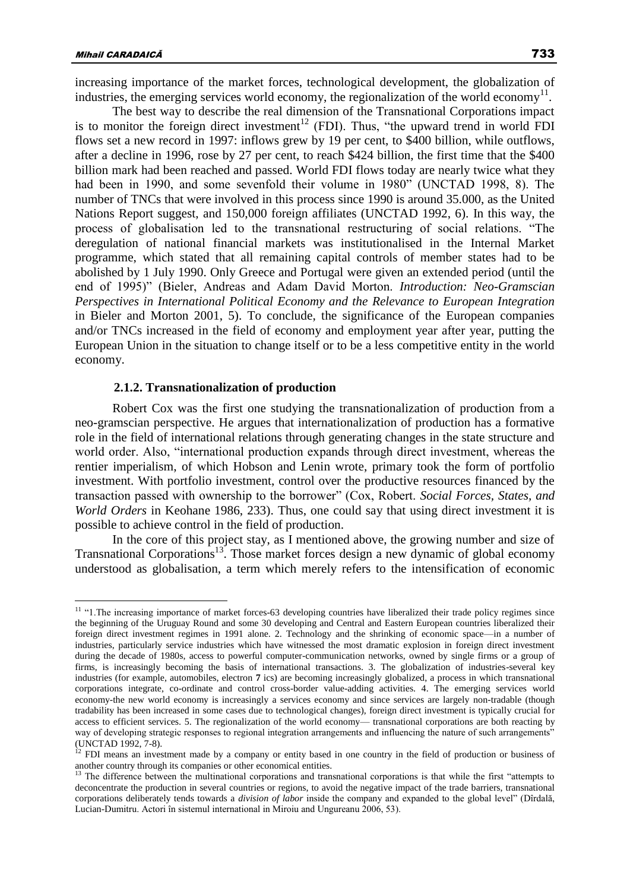The best way to describe the real dimension of the Transnational Corporations impact is to monitor the foreign direct investment<sup>12</sup> (FDI). Thus, "the upward trend in world FDI flows set a new record in 1997: inflows grew by 19 per cent, to \$400 billion, while outflows, after a decline in 1996, rose by 27 per cent, to reach \$424 billion, the first time that the \$400 billion mark had been reached and passed. World FDI flows today are nearly twice what they had been in 1990, and some sevenfold their volume in 1980" (UNCTAD 1998, 8). The number of TNCs that were involved in this process since 1990 is around 35.000, as the United Nations Report suggest, and 150,000 foreign affiliates (UNCTAD 1992, 6). In this way, the process of globalisation led to the transnational restructuring of social relations. "The deregulation of national financial markets was institutionalised in the Internal Market programme, which stated that all remaining capital controls of member states had to be abolished by 1 July 1990. Only Greece and Portugal were given an extended period (until the end of 1995)" (Bieler, Andreas and Adam David Morton. *Introduction: Neo-Gramscian Perspectives in International Political Economy and the Relevance to European Integration* in Bieler and Morton 2001, 5). To conclude, the significance of the European companies and/or TNCs increased in the field of economy and employment year after year, putting the European Union in the situation to change itself or to be a less competitive entity in the world economy.

### **2.1.2. Transnationalization of production**

Robert Cox was the first one studying the transnationalization of production from a neo-gramscian perspective. He argues that internationalization of production has a formative role in the field of international relations through generating changes in the state structure and world order. Also, "international production expands through direct investment, whereas the rentier imperialism, of which Hobson and Lenin wrote, primary took the form of portfolio investment. With portfolio investment, control over the productive resources financed by the transaction passed with ownership to the borrower" (Cox, Robert. *Social Forces, States, and World Orders* in Keohane 1986, 233). Thus, one could say that using direct investment it is possible to achieve control in the field of production.

In the core of this project stay, as I mentioned above, the growing number and size of Transnational Corporations<sup>13</sup>. Those market forces design a new dynamic of global economy understood as globalisation, a term which merely refers to the intensification of economic

 $\overline{a}$  $11$  "1. The increasing importance of market forces-63 developing countries have liberalized their trade policy regimes since the beginning of the Uruguay Round and some 30 developing and Central and Eastern European countries liberalized their foreign direct investment regimes in 1991 alone. 2. Technology and the shrinking of economic space—in a number of industries, particularly service industries which have witnessed the most dramatic explosion in foreign direct investment during the decade of 1980s, access to powerful computer-communication networks, owned by single firms or a group of firms, is increasingly becoming the basis of international transactions. 3. The globalization of industries-several key industries (for example, automobiles, electron **7** ics) are becoming increasingly globalized, a process in which transnational corporations integrate, co-ordinate and control cross-border value-adding activities. 4. The emerging services world economy-the new world economy is increasingly a services economy and since services are largely non-tradable (though tradability has been increased in some cases due to technological changes), foreign direct investment is typically crucial for access to efficient services. 5. The regionalization of the world economy— transnational corporations are both reacting by way of developing strategic responses to regional integration arrangements and influencing the nature of such arrangements" (UNCTAD 1992, 7-8).

<sup>&</sup>lt;sup>12</sup> FDI means an investment made by a company or entity based in one country in the field of production or business of another country through its companies or other economical entities.

 $13$  The difference between the multinational corporations and transnational corporations is that while the first "attempts to deconcentrate the production in several countries or regions, to avoid the negative impact of the trade barriers, transnational corporations deliberately tends towards a *division of labor* inside the company and expanded to the global level" (Dîrdală, Lucian-Dumitru. Actori în sistemul international in Miroiu and Ungureanu 2006, 53).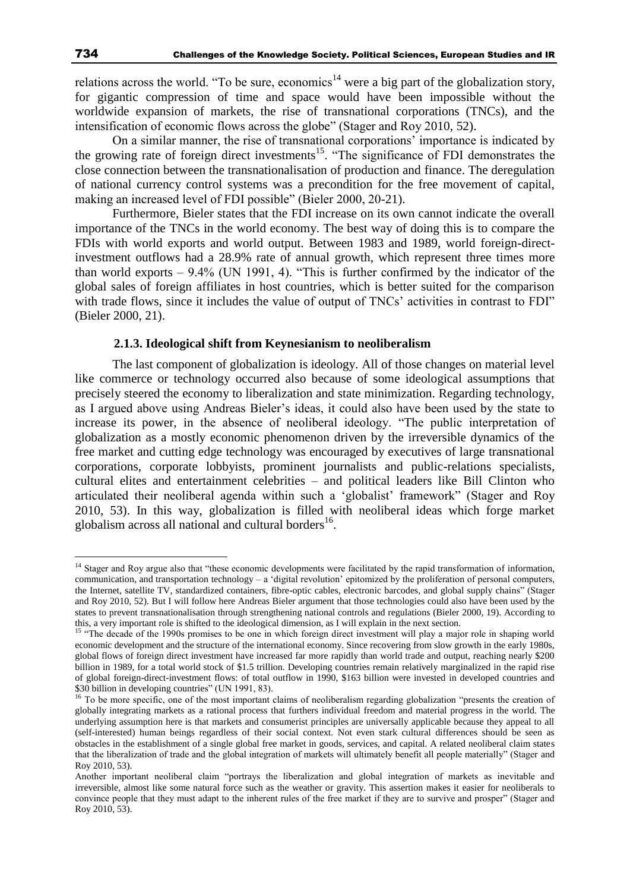relations across the world. "To be sure, economics<sup>14</sup> were a big part of the globalization story, for gigantic compression of time and space would have been impossible without the worldwide expansion of markets, the rise of transnational corporations (TNCs), and the intensification of economic flows across the globe" (Stager and Roy 2010, 52).

On a similar manner, the rise of transnational corporations' importance is indicated by the growing rate of foreign direct investments<sup>15</sup>. "The significance of FDI demonstrates the close connection between the transnationalisation of production and finance. The deregulation of national currency control systems was a precondition for the free movement of capital, making an increased level of FDI possible" (Bieler 2000, 20-21).

Furthermore, Bieler states that the FDI increase on its own cannot indicate the overall importance of the TNCs in the world economy. The best way of doing this is to compare the FDIs with world exports and world output. Between 1983 and 1989, world foreign-directinvestment outflows had a 28.9% rate of annual growth, which represent three times more than world exports  $-9.4\%$  (UN 1991, 4). "This is further confirmed by the indicator of the global sales of foreign affiliates in host countries, which is better suited for the comparison with trade flows, since it includes the value of output of TNCs' activities in contrast to FDI" (Bieler 2000, 21).

### **2.1.3. Ideological shift from Keynesianism to neoliberalism**

The last component of globalization is ideology. All of those changes on material level like commerce or technology occurred also because of some ideological assumptions that precisely steered the economy to liberalization and state minimization. Regarding technology, as I argued above using Andreas Bieler's ideas, it could also have been used by the state to increase its power, in the absence of neoliberal ideology. "The public interpretation of globalization as a mostly economic phenomenon driven by the irreversible dynamics of the free market and cutting edge technology was encouraged by executives of large transnational corporations, corporate lobbyists, prominent journalists and public-relations specialists, cultural elites and entertainment celebrities – and political leaders like Bill Clinton who articulated their neoliberal agenda within such a 'globalist' framework" (Stager and Roy 2010, 53). In this way, globalization is filled with neoliberal ideas which forge market globalism across all national and cultural borders<sup>16</sup>.

<sup>&</sup>lt;sup>14</sup> Stager and Roy argue also that "these economic developments were facilitated by the rapid transformation of information, communication, and transportation technology – a 'digital revolution' epitomized by the proliferation of personal computers, the Internet, satellite TV, standardized containers, fibre-optic cables, electronic barcodes, and global supply chains" (Stager and Roy 2010, 52). But I will follow here Andreas Bieler argument that those technologies could also have been used by the states to prevent transnationalisation through strengthening national controls and regulations (Bieler 2000, 19). According to this, a very important role is shifted to the ideological dimension, as I will explain in the next section.

<sup>&</sup>lt;sup>15</sup> "The decade of the 1990s promises to be one in which foreign direct investment will play a major role in shaping world economic development and the structure of the international economy. Since recovering from slow growth in the early 1980s, global flows of foreign direct investment have increased far more rapidly than world trade and output, reaching nearly \$200 billion in 1989, for a total world stock of \$1.5 trillion. Developing countries remain relatively marginalized in the rapid rise of global foreign-direct-investment flows: of total outflow in 1990, \$163 billion were invested in developed countries and \$30 billion in developing countries" (UN 1991, 83).

<sup>&</sup>lt;sup>16</sup> To be more specific, one of the most important claims of neoliberalism regarding globalization "presents the creation of globally integrating markets as a rational process that furthers individual freedom and material progress in the world. The underlying assumption here is that markets and consumerist principles are universally applicable because they appeal to all (self-interested) human beings regardless of their social context. Not even stark cultural differences should be seen as obstacles in the establishment of a single global free market in goods, services, and capital. A related neoliberal claim states that the liberalization of trade and the global integration of markets will ultimately benefit all people materially" (Stager and Roy 2010, 53).

Another important neoliberal claim "portrays the liberalization and global integration of markets as inevitable and irreversible, almost like some natural force such as the weather or gravity. This assertion makes it easier for neoliberals to convince people that they must adapt to the inherent rules of the free market if they are to survive and prosper" (Stager and Roy 2010, 53).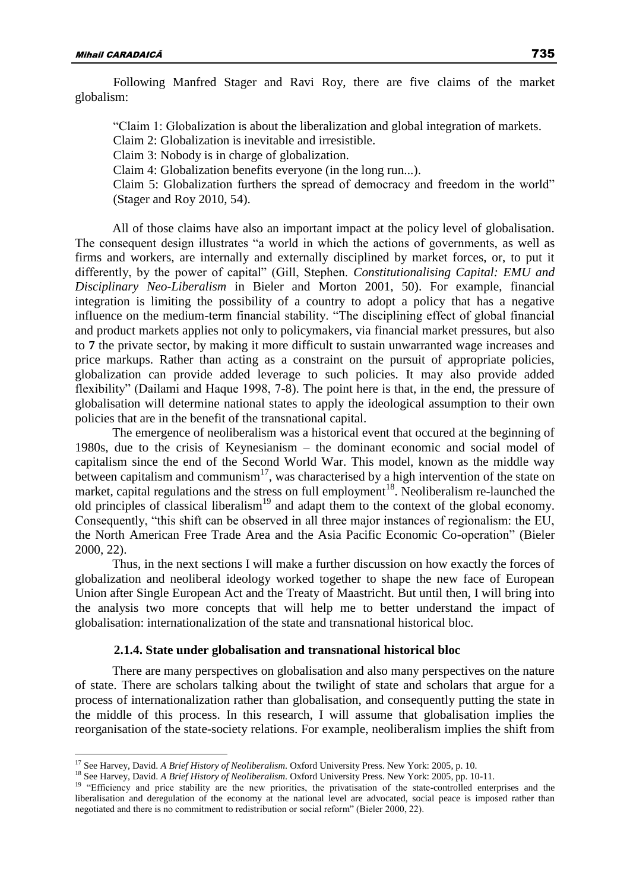Following Manfred Stager and Ravi Roy, there are five claims of the market globalism:

"Claim 1: Globalization is about the liberalization and global integration of markets.

Claim 2: Globalization is inevitable and irresistible.

Claim 3: Nobody is in charge of globalization.

Claim 4: Globalization benefits everyone (in the long run...).

Claim 5: Globalization furthers the spread of democracy and freedom in the world" (Stager and Roy 2010, 54).

All of those claims have also an important impact at the policy level of globalisation. The consequent design illustrates "a world in which the actions of governments, as well as firms and workers, are internally and externally disciplined by market forces, or, to put it differently, by the power of capital" (Gill, Stephen. *Constitutionalising Capital: EMU and Disciplinary Neo-Liberalism* in Bieler and Morton 2001, 50). For example, financial integration is limiting the possibility of a country to adopt a policy that has a negative influence on the medium-term financial stability. "The disciplining effect of global financial and product markets applies not only to policymakers, via financial market pressures, but also to **7** the private sector, by making it more difficult to sustain unwarranted wage increases and price markups. Rather than acting as a constraint on the pursuit of appropriate policies, globalization can provide added leverage to such policies. It may also provide added flexibility" (Dailami and Haque 1998, 7-8). The point here is that, in the end, the pressure of globalisation will determine national states to apply the ideological assumption to their own policies that are in the benefit of the transnational capital.

The emergence of neoliberalism was a historical event that occured at the beginning of 1980s, due to the crisis of Keynesianism – the dominant economic and social model of capitalism since the end of the Second World War. This model, known as the middle way between capitalism and communism<sup>17</sup>, was characterised by a high intervention of the state on market, capital regulations and the stress on full employment<sup>18</sup>. Neoliberalism re-launched the old principles of classical liberalism<sup>19</sup> and adapt them to the context of the global economy. Consequently, "this shift can be observed in all three major instances of regionalism: the EU, the North American Free Trade Area and the Asia Pacific Economic Co-operation" (Bieler 2000, 22).

Thus, in the next sections I will make a further discussion on how exactly the forces of globalization and neoliberal ideology worked together to shape the new face of European Union after Single European Act and the Treaty of Maastricht. But until then, I will bring into the analysis two more concepts that will help me to better understand the impact of globalisation: internationalization of the state and transnational historical bloc.

### **2.1.4. State under globalisation and transnational historical bloc**

There are many perspectives on globalisation and also many perspectives on the nature of state. There are scholars talking about the twilight of state and scholars that argue for a process of internationalization rather than globalisation, and consequently putting the state in the middle of this process. In this research, I will assume that globalisation implies the reorganisation of the state-society relations. For example, neoliberalism implies the shift from

<sup>&</sup>lt;sup>17</sup> See Harvey, David. *A Brief History of Neoliberalism*. Oxford University Press. New York: 2005, p. 10.

<sup>18</sup> See Harvey, David. *A Brief History of Neoliberalism*. Oxford University Press. New York: 2005, pp. 10-11.

<sup>&</sup>lt;sup>19</sup> "Efficiency and price stability are the new priorities, the privatisation of the state-controlled enterprises and the liberalisation and deregulation of the economy at the national level are advocated, social peace is imposed rather than negotiated and there is no commitment to redistribution or social reform" (Bieler 2000, 22).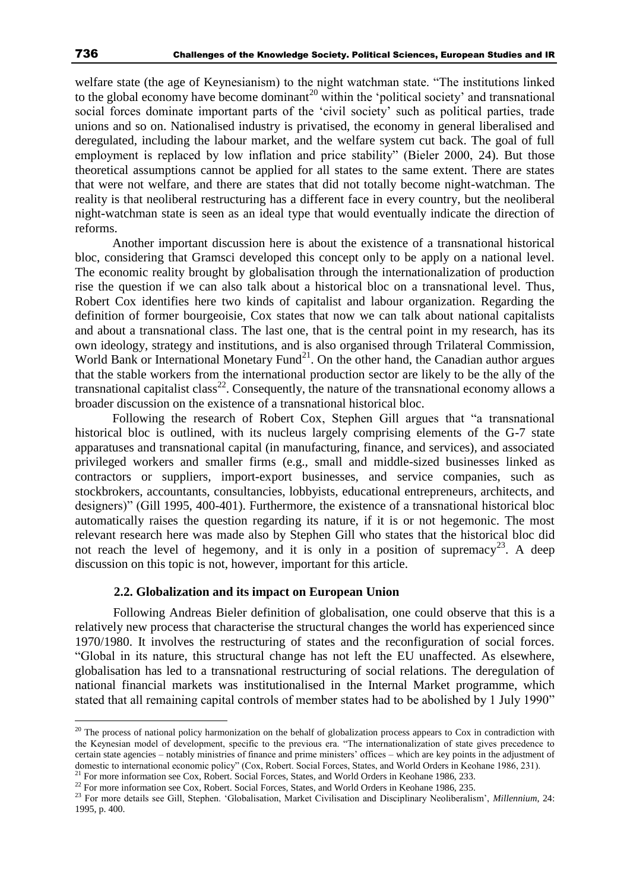welfare state (the age of Keynesianism) to the night watchman state. "The institutions linked to the global economy have become dominant<sup>20</sup> within the 'political society' and transnational social forces dominate important parts of the 'civil society' such as political parties, trade unions and so on. Nationalised industry is privatised, the economy in general liberalised and deregulated, including the labour market, and the welfare system cut back. The goal of full employment is replaced by low inflation and price stability" (Bieler 2000, 24). But those theoretical assumptions cannot be applied for all states to the same extent. There are states that were not welfare, and there are states that did not totally become night-watchman. The reality is that neoliberal restructuring has a different face in every country, but the neoliberal night-watchman state is seen as an ideal type that would eventually indicate the direction of reforms.

Another important discussion here is about the existence of a transnational historical bloc, considering that Gramsci developed this concept only to be apply on a national level. The economic reality brought by globalisation through the internationalization of production rise the question if we can also talk about a historical bloc on a transnational level. Thus, Robert Cox identifies here two kinds of capitalist and labour organization. Regarding the definition of former bourgeoisie, Cox states that now we can talk about national capitalists and about a transnational class. The last one, that is the central point in my research, has its own ideology, strategy and institutions, and is also organised through Trilateral Commission, World Bank or International Monetary Fund<sup>21</sup>. On the other hand, the Canadian author argues that the stable workers from the international production sector are likely to be the ally of the transnational capitalist class<sup>22</sup>. Consequently, the nature of the transnational economy allows a broader discussion on the existence of a transnational historical bloc.

Following the research of Robert Cox, Stephen Gill argues that "a transnational historical bloc is outlined, with its nucleus largely comprising elements of the G-7 state apparatuses and transnational capital (in manufacturing, finance, and services), and associated privileged workers and smaller firms (e.g., small and middle-sized businesses linked as contractors or suppliers, import-export businesses, and service companies, such as stockbrokers, accountants, consultancies, lobbyists, educational entrepreneurs, architects, and designers)" (Gill 1995, 400-401). Furthermore, the existence of a transnational historical bloc automatically raises the question regarding its nature, if it is or not hegemonic. The most relevant research here was made also by Stephen Gill who states that the historical bloc did not reach the level of hegemony, and it is only in a position of supremacy<sup>23</sup>. A deep discussion on this topic is not, however, important for this article.

### **2.2. Globalization and its impact on European Union**

Following Andreas Bieler definition of globalisation, one could observe that this is a relatively new process that characterise the structural changes the world has experienced since 1970/1980. It involves the restructuring of states and the reconfiguration of social forces. "Global in its nature, this structural change has not left the EU unaffected. As elsewhere, globalisation has led to a transnational restructuring of social relations. The deregulation of national financial markets was institutionalised in the Internal Market programme, which stated that all remaining capital controls of member states had to be abolished by 1 July 1990"

<sup>&</sup>lt;sup>20</sup> The process of national policy harmonization on the behalf of globalization process appears to Cox in contradiction with the Keynesian model of development, specific to the previous era. "The internationalization of state gives precedence to certain state agencies – notably ministries of finance and prime ministers' offices – which are key points in the adjustment of domestic to international economic policy" (Cox, Robert. Social Forces, States, and World Orders in Keohane 1986, 231).

<sup>&</sup>lt;sup>21</sup> For more information see Cox, Robert. Social Forces, States, and World Orders in Keohane 1986, 233.

<sup>&</sup>lt;sup>22</sup> For more information see Cox, Robert. Social Forces, States, and World Orders in Keohane 1986, 235.

<sup>&</sup>lt;sup>23</sup> For more details see Gill, Stephen. 'Globalisation, Market Civilisation and Disciplinary Neoliberalism', Millennium, 24: 1995, p. 400.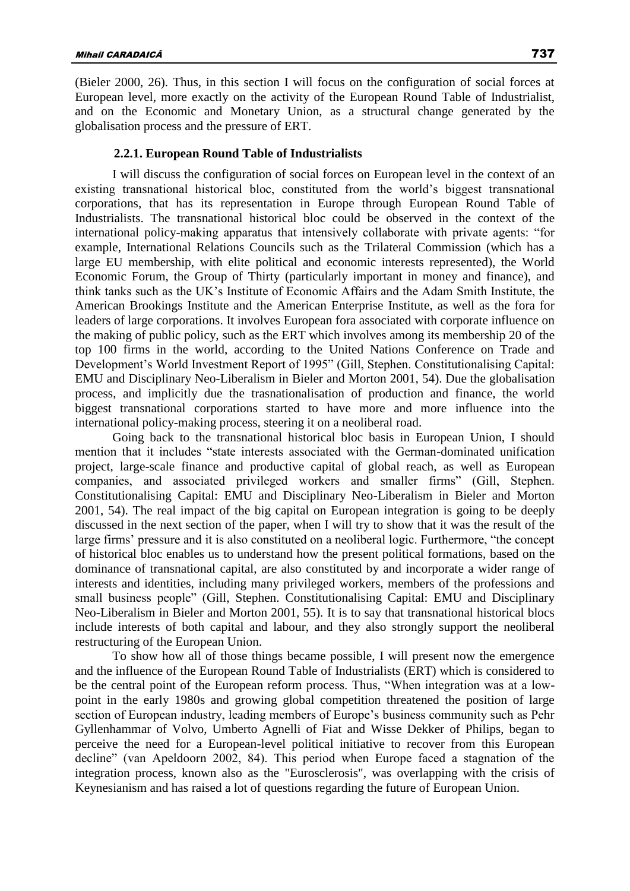(Bieler 2000, 26). Thus, in this section I will focus on the configuration of social forces at European level, more exactly on the activity of the European Round Table of Industrialist, and on the Economic and Monetary Union, as a structural change generated by the globalisation process and the pressure of ERT.

### **2.2.1. European Round Table of Industrialists**

I will discuss the configuration of social forces on European level in the context of an existing transnational historical bloc, constituted from the world's biggest transnational corporations, that has its representation in Europe through European Round Table of Industrialists. The transnational historical bloc could be observed in the context of the international policy-making apparatus that intensively collaborate with private agents: "for example, International Relations Councils such as the Trilateral Commission (which has a large EU membership, with elite political and economic interests represented), the World Economic Forum, the Group of Thirty (particularly important in money and finance), and think tanks such as the UK's Institute of Economic Affairs and the Adam Smith Institute, the American Brookings Institute and the American Enterprise Institute, as well as the fora for leaders of large corporations. It involves European fora associated with corporate influence on the making of public policy, such as the ERT which involves among its membership 20 of the top 100 firms in the world, according to the United Nations Conference on Trade and Development's World Investment Report of 1995" (Gill, Stephen. Constitutionalising Capital: EMU and Disciplinary Neo-Liberalism in Bieler and Morton 2001, 54). Due the globalisation process, and implicitly due the trasnationalisation of production and finance, the world biggest transnational corporations started to have more and more influence into the international policy-making process, steering it on a neoliberal road.

Going back to the transnational historical bloc basis in European Union, I should mention that it includes "state interests associated with the German-dominated unification project, large-scale finance and productive capital of global reach, as well as European companies, and associated privileged workers and smaller firms" (Gill, Stephen. Constitutionalising Capital: EMU and Disciplinary Neo-Liberalism in Bieler and Morton 2001, 54). The real impact of the big capital on European integration is going to be deeply discussed in the next section of the paper, when I will try to show that it was the result of the large firms' pressure and it is also constituted on a neoliberal logic. Furthermore, "the concept of historical bloc enables us to understand how the present political formations, based on the dominance of transnational capital, are also constituted by and incorporate a wider range of interests and identities, including many privileged workers, members of the professions and small business people" (Gill, Stephen. Constitutionalising Capital: EMU and Disciplinary Neo-Liberalism in Bieler and Morton 2001, 55). It is to say that transnational historical blocs include interests of both capital and labour, and they also strongly support the neoliberal restructuring of the European Union.

To show how all of those things became possible, I will present now the emergence and the influence of the European Round Table of Industrialists (ERT) which is considered to be the central point of the European reform process. Thus, "When integration was at a lowpoint in the early 1980s and growing global competition threatened the position of large section of European industry, leading members of Europe's business community such as Pehr Gyllenhammar of Volvo, Umberto Agnelli of Fiat and Wisse Dekker of Philips, began to perceive the need for a European-level political initiative to recover from this European decline" (van Apeldoorn 2002, 84). This period when Europe faced a stagnation of the integration process, known also as the "Eurosclerosis", was overlapping with the crisis of Keynesianism and has raised a lot of questions regarding the future of European Union.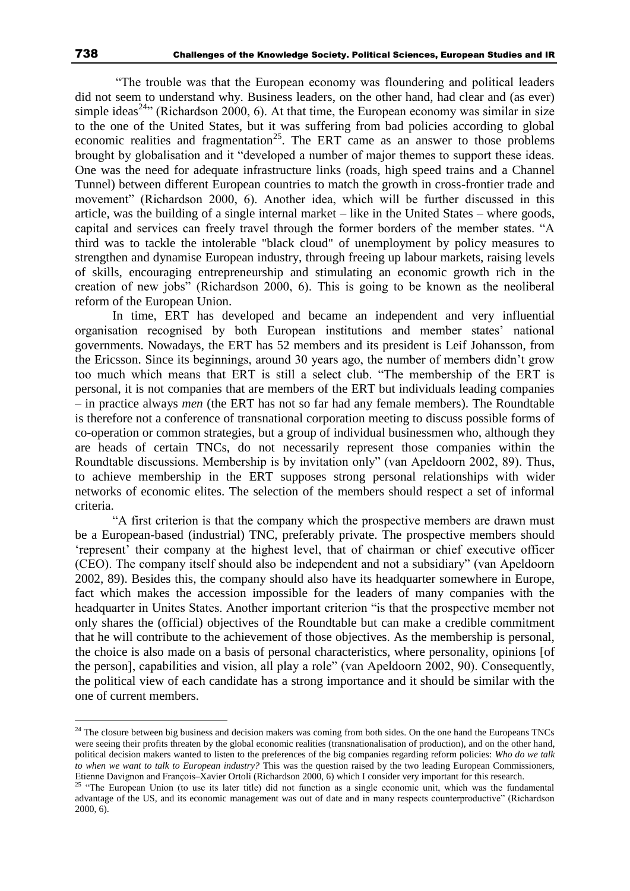"The trouble was that the European economy was floundering and political leaders did not seem to understand why. Business leaders, on the other hand, had clear and (as ever) simple ideas<sup>24</sup><sup>1</sup> (Richardson 2000, 6). At that time, the European economy was similar in size to the one of the United States, but it was suffering from bad policies according to global economic realities and fragmentation<sup>25</sup>. The ERT came as an answer to those problems brought by globalisation and it "developed a number of major themes to support these ideas. One was the need for adequate infrastructure links (roads, high speed trains and a Channel Tunnel) between different European countries to match the growth in cross-frontier trade and movement" (Richardson 2000, 6). Another idea, which will be further discussed in this article, was the building of a single internal market – like in the United States – where goods, capital and services can freely travel through the former borders of the member states. "A third was to tackle the intolerable "black cloud" of unemployment by policy measures to strengthen and dynamise European industry, through freeing up labour markets, raising levels of skills, encouraging entrepreneurship and stimulating an economic growth rich in the creation of new jobs" (Richardson 2000, 6). This is going to be known as the neoliberal reform of the European Union.

In time, ERT has developed and became an independent and very influential organisation recognised by both European institutions and member states' national governments. Nowadays, the ERT has 52 members and its president is Leif Johansson, from the Ericsson. Since its beginnings, around 30 years ago, the number of members didn't grow too much which means that ERT is still a select club. "The membership of the ERT is personal, it is not companies that are members of the ERT but individuals leading companies – in practice always *men* (the ERT has not so far had any female members). The Roundtable is therefore not a conference of transnational corporation meeting to discuss possible forms of co-operation or common strategies, but a group of individual businessmen who, although they are heads of certain TNCs, do not necessarily represent those companies within the Roundtable discussions. Membership is by invitation only" (van Apeldoorn 2002, 89). Thus, to achieve membership in the ERT supposes strong personal relationships with wider networks of economic elites. The selection of the members should respect a set of informal criteria.

"A first criterion is that the company which the prospective members are drawn must be a European-based (industrial) TNC, preferably private. The prospective members should 'represent' their company at the highest level, that of chairman or chief executive officer (CEO). The company itself should also be independent and not a subsidiary" (van Apeldoorn 2002, 89). Besides this, the company should also have its headquarter somewhere in Europe, fact which makes the accession impossible for the leaders of many companies with the headquarter in Unites States. Another important criterion "is that the prospective member not only shares the (official) objectives of the Roundtable but can make a credible commitment that he will contribute to the achievement of those objectives. As the membership is personal, the choice is also made on a basis of personal characteristics, where personality, opinions [of the person], capabilities and vision, all play a role" (van Apeldoorn 2002, 90). Consequently, the political view of each candidate has a strong importance and it should be similar with the one of current members.

<sup>&</sup>lt;sup>24</sup> The closure between big business and decision makers was coming from both sides. On the one hand the Europeans TNCs were seeing their profits threaten by the global economic realities (transnationalisation of production), and on the other hand, political decision makers wanted to listen to the preferences of the big companies regarding reform policies: *Who do we talk to when we want to talk to European industry?* This was the question raised by the two leading European Commissioners, Etienne Davignon and François–Xavier Ortoli (Richardson 2000, 6) which I consider very important for this research.

<sup>&</sup>lt;sup>25</sup> "The European Union (to use its later title) did not function as a single economic unit, which was the fundamental advantage of the US, and its economic management was out of date and in many respects counterproductive" (Richardson 2000, 6).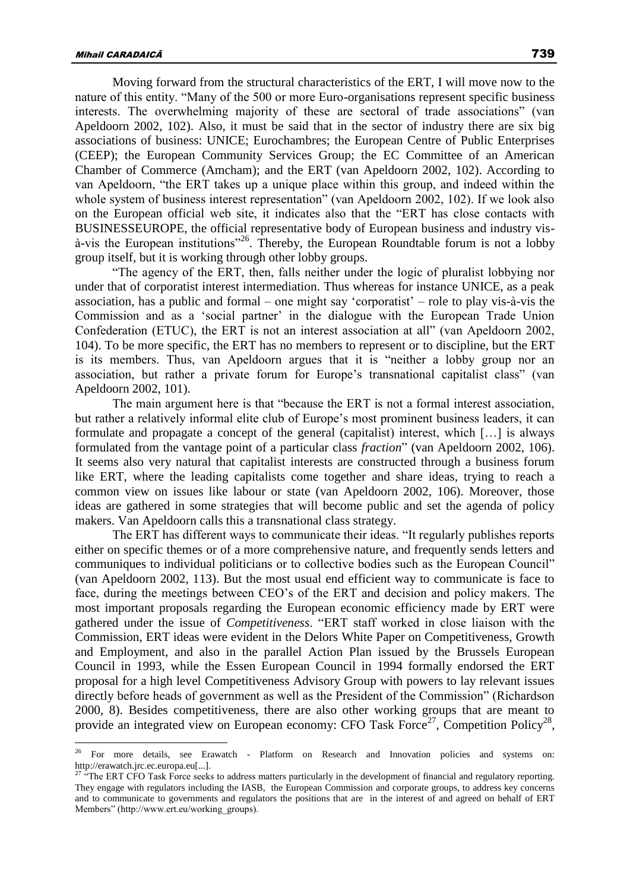Moving forward from the structural characteristics of the ERT, I will move now to the nature of this entity. "Many of the 500 or more Euro-organisations represent specific business interests. The overwhelming majority of these are sectoral of trade associations" (van Apeldoorn 2002, 102). Also, it must be said that in the sector of industry there are six big associations of business: UNICE; Eurochambres; the European Centre of Public Enterprises (CEEP); the European Community Services Group; the EC Committee of an American Chamber of Commerce (Amcham); and the ERT (van Apeldoorn 2002, 102). According to van Apeldoorn, "the ERT takes up a unique place within this group, and indeed within the whole system of business interest representation" (van Apeldoorn 2002, 102). If we look also on the European official web site, it indicates also that the "ERT has close contacts with BUSINESSEUROPE, the official representative body of European business and industry visà-vis the European institutions"<sup>26</sup>. Thereby, the European Roundtable forum is not a lobby group itself, but it is working through other lobby groups.

"The agency of the ERT, then, falls neither under the logic of pluralist lobbying nor under that of corporatist interest intermediation. Thus whereas for instance UNICE, as a peak association, has a public and formal – one might say 'corporatist' – role to play vis-à-vis the Commission and as a 'social partner' in the dialogue with the European Trade Union Confederation (ETUC), the ERT is not an interest association at all" (van Apeldoorn 2002, 104). To be more specific, the ERT has no members to represent or to discipline, but the ERT is its members. Thus, van Apeldoorn argues that it is "neither a lobby group nor an association, but rather a private forum for Europe's transnational capitalist class" (van Apeldoorn 2002, 101).

The main argument here is that "because the ERT is not a formal interest association, but rather a relatively informal elite club of Europe's most prominent business leaders, it can formulate and propagate a concept of the general (capitalist) interest, which […] is always formulated from the vantage point of a particular class *fraction*" (van Apeldoorn 2002, 106). It seems also very natural that capitalist interests are constructed through a business forum like ERT, where the leading capitalists come together and share ideas, trying to reach a common view on issues like labour or state (van Apeldoorn 2002, 106). Moreover, those ideas are gathered in some strategies that will become public and set the agenda of policy makers. Van Apeldoorn calls this a transnational class strategy.

The ERT has different ways to communicate their ideas. "It regularly publishes reports either on specific themes or of a more comprehensive nature, and frequently sends letters and communiques to individual politicians or to collective bodies such as the European Council" (van Apeldoorn 2002, 113). But the most usual end efficient way to communicate is face to face, during the meetings between CEO's of the ERT and decision and policy makers. The most important proposals regarding the European economic efficiency made by ERT were gathered under the issue of *Competitiveness*. "ERT staff worked in close liaison with the Commission, ERT ideas were evident in the Delors White Paper on Competitiveness, Growth and Employment, and also in the parallel Action Plan issued by the Brussels European Council in 1993, while the Essen European Council in 1994 formally endorsed the ERT proposal for a high level Competitiveness Advisory Group with powers to lay relevant issues directly before heads of government as well as the President of the Commission" (Richardson 2000, 8). Besides competitiveness, there are also other working groups that are meant to provide an integrated view on European economy: CFO Task Force<sup>27</sup>, Competition Policy<sup>28</sup>,

<sup>&</sup>lt;sup>26</sup> For more details, see Erawatch - Platform on Research and Innovation policies and systems on: http://erawatch.jrc.ec.europa.eu[...].

<sup>&</sup>lt;sup>27 "</sup>The ERT CFO Task Force seeks to address matters particularly in the development of financial and regulatory reporting. They engage with regulators including the IASB, the European Commission and corporate groups, to address key concerns and to communicate to governments and regulators the positions that are in the interest of and agreed on behalf of ERT Members" (http://www.ert.eu/working\_groups).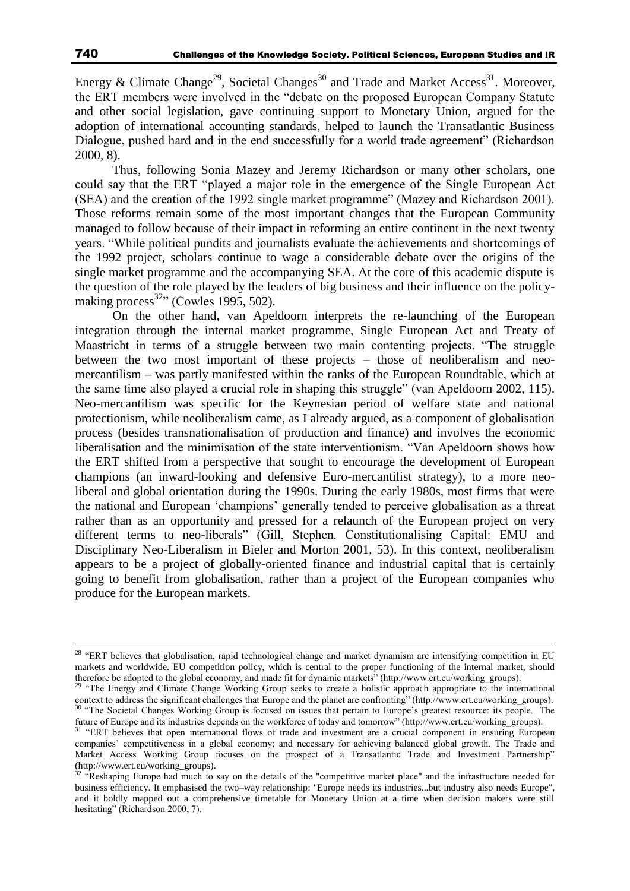Energy & Climate Change<sup>29</sup>, Societal Changes<sup>30</sup> and Trade and Market Access<sup>31</sup>. Moreover, the ERT members were involved in the "debate on the proposed European Company Statute and other social legislation, gave continuing support to Monetary Union, argued for the adoption of international accounting standards, helped to launch the Transatlantic Business Dialogue, pushed hard and in the end successfully for a world trade agreement" (Richardson 2000, 8).

Thus, following Sonia Mazey and Jeremy Richardson or many other scholars, one could say that the ERT "played a major role in the emergence of the Single European Act (SEA) and the creation of the 1992 single market programme" (Mazey and Richardson 2001). Those reforms remain some of the most important changes that the European Community managed to follow because of their impact in reforming an entire continent in the next twenty years. "While political pundits and journalists evaluate the achievements and shortcomings of the 1992 project, scholars continue to wage a considerable debate over the origins of the single market programme and the accompanying SEA. At the core of this academic dispute is the question of the role played by the leaders of big business and their influence on the policymaking process<sup>32</sup>" (Cowles 1995, 502).

On the other hand, van Apeldoorn interprets the re-launching of the European integration through the internal market programme, Single European Act and Treaty of Maastricht in terms of a struggle between two main contenting projects. "The struggle between the two most important of these projects – those of neoliberalism and neomercantilism – was partly manifested within the ranks of the European Roundtable, which at the same time also played a crucial role in shaping this struggle" (van Apeldoorn 2002, 115). Neo-mercantilism was specific for the Keynesian period of welfare state and national protectionism, while neoliberalism came, as I already argued, as a component of globalisation process (besides transnationalisation of production and finance) and involves the economic liberalisation and the minimisation of the state interventionism. "Van Apeldoorn shows how the ERT shifted from a perspective that sought to encourage the development of European champions (an inward-looking and defensive Euro-mercantilist strategy), to a more neoliberal and global orientation during the 1990s. During the early 1980s, most firms that were the national and European 'champions' generally tended to perceive globalisation as a threat rather than as an opportunity and pressed for a relaunch of the European project on very different terms to neo-liberals" (Gill, Stephen. Constitutionalising Capital: EMU and Disciplinary Neo-Liberalism in Bieler and Morton 2001, 53). In this context, neoliberalism appears to be a project of globally-oriented finance and industrial capital that is certainly going to benefit from globalisation, rather than a project of the European companies who produce for the European markets.

<sup>&</sup>lt;sup>28</sup> "ERT believes that globalisation, rapid technological change and market dynamism are intensifying competition in EU markets and worldwide. EU competition policy, which is central to the proper functioning of the internal market, should therefore be adopted to the global economy, and made fit for dynamic markets" (http://www.ert.eu/working\_groups).

<sup>&</sup>lt;sup>29</sup> "The Energy and Climate Change Working Group seeks to create a holistic approach appropriate to the international context to address the significant challenges that Europe and the planet are confronting" (http://www.ert.eu/working\_groups). <sup>30</sup> "The Societal Changes Working Group is focused on issues that pertain to Europe's greatest resource: its people. The future of Europe and its industries depends on the workforce of today and tomorrow" (http://www.ert.eu/working\_groups).

<sup>&</sup>lt;sup>31</sup> "ERT believes that open international flows of trade and investment are a crucial component in ensuring European companies' competitiveness in a global economy; and necessary for achieving balanced global growth. The Trade and Market Access Working Group focuses on the prospect of a Transatlantic Trade and Investment Partnership" (http://www.ert.eu/working\_groups).

 $32$  "Reshaping Europe had much to say on the details of the "competitive market place" and the infrastructure needed for business efficiency. It emphasised the two–way relationship: "Europe needs its industries...but industry also needs Europe", and it boldly mapped out a comprehensive timetable for Monetary Union at a time when decision makers were still hesitating" (Richardson 2000, 7).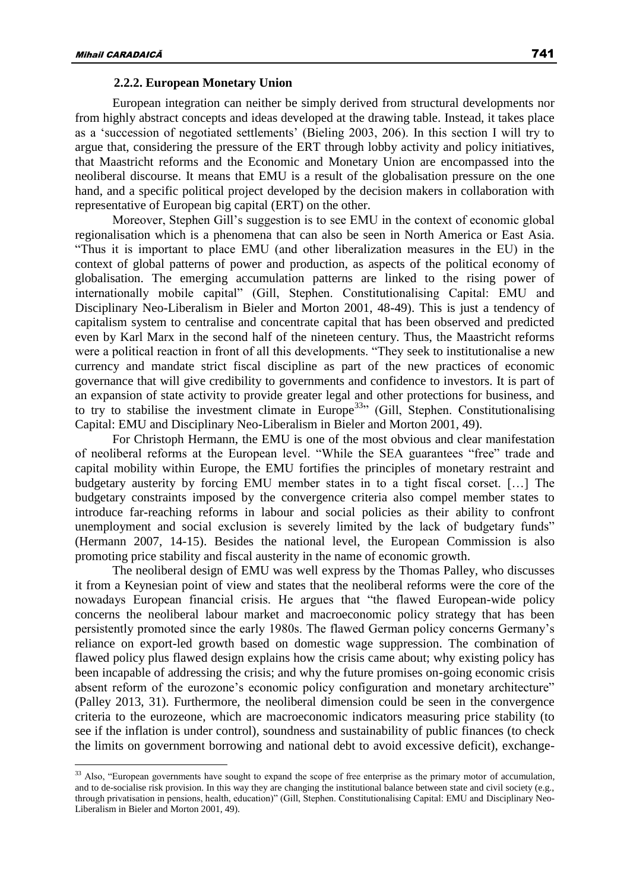### **2.2.2. European Monetary Union**

European integration can neither be simply derived from structural developments nor from highly abstract concepts and ideas developed at the drawing table. Instead, it takes place as a 'succession of negotiated settlements' (Bieling 2003, 206). In this section I will try to argue that, considering the pressure of the ERT through lobby activity and policy initiatives, that Maastricht reforms and the Economic and Monetary Union are encompassed into the neoliberal discourse. It means that EMU is a result of the globalisation pressure on the one hand, and a specific political project developed by the decision makers in collaboration with representative of European big capital (ERT) on the other.

Moreover, Stephen Gill's suggestion is to see EMU in the context of economic global regionalisation which is a phenomena that can also be seen in North America or East Asia. "Thus it is important to place EMU (and other liberalization measures in the EU) in the context of global patterns of power and production, as aspects of the political economy of globalisation. The emerging accumulation patterns are linked to the rising power of internationally mobile capital" (Gill, Stephen. Constitutionalising Capital: EMU and Disciplinary Neo-Liberalism in Bieler and Morton 2001, 48-49). This is just a tendency of capitalism system to centralise and concentrate capital that has been observed and predicted even by Karl Marx in the second half of the nineteen century. Thus, the Maastricht reforms were a political reaction in front of all this developments. "They seek to institutionalise a new currency and mandate strict fiscal discipline as part of the new practices of economic governance that will give credibility to governments and confidence to investors. It is part of an expansion of state activity to provide greater legal and other protections for business, and to try to stabilise the investment climate in Europe<sup>33</sup><sup>33</sup> (Gill, Stephen. Constitutionalising Capital: EMU and Disciplinary Neo-Liberalism in Bieler and Morton 2001, 49).

For Christoph Hermann, the EMU is one of the most obvious and clear manifestation of neoliberal reforms at the European level. "While the SEA guarantees "free" trade and capital mobility within Europe, the EMU fortifies the principles of monetary restraint and budgetary austerity by forcing EMU member states in to a tight fiscal corset. […] The budgetary constraints imposed by the convergence criteria also compel member states to introduce far-reaching reforms in labour and social policies as their ability to confront unemployment and social exclusion is severely limited by the lack of budgetary funds" (Hermann 2007, 14-15). Besides the national level, the European Commission is also promoting price stability and fiscal austerity in the name of economic growth.

The neoliberal design of EMU was well express by the Thomas Palley, who discusses it from a Keynesian point of view and states that the neoliberal reforms were the core of the nowadays European financial crisis. He argues that "the flawed European-wide policy concerns the neoliberal labour market and macroeconomic policy strategy that has been persistently promoted since the early 1980s. The flawed German policy concerns Germany's reliance on export-led growth based on domestic wage suppression. The combination of flawed policy plus flawed design explains how the crisis came about; why existing policy has been incapable of addressing the crisis; and why the future promises on-going economic crisis absent reform of the eurozone's economic policy configuration and monetary architecture" (Palley 2013, 31). Furthermore, the neoliberal dimension could be seen in the convergence criteria to the eurozeone, which are macroeconomic indicators measuring price stability (to see if the inflation is under control), soundness and sustainability of public finances (to check the limits on government borrowing and national debt to avoid excessive deficit), exchange-

 $33$  Also, "European governments have sought to expand the scope of free enterprise as the primary motor of accumulation, and to de-socialise risk provision. In this way they are changing the institutional balance between state and civil society (e.g., through privatisation in pensions, health, education)" (Gill, Stephen. Constitutionalising Capital: EMU and Disciplinary Neo-Liberalism in Bieler and Morton 2001, 49).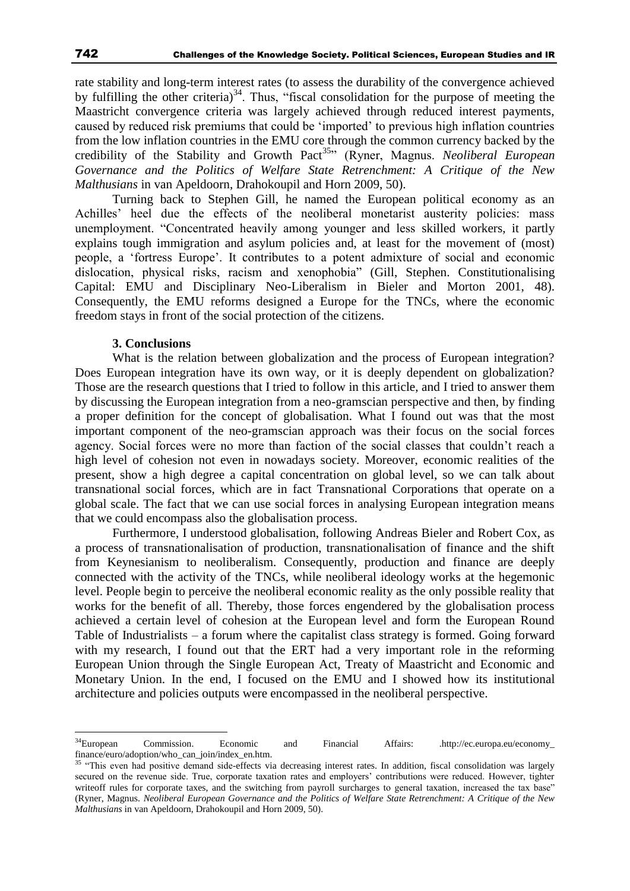rate stability and long-term interest rates (to assess the durability of the convergence achieved by fulfilling the other criteria)<sup>34</sup>. Thus, "fiscal consolidation for the purpose of meeting the Maastricht convergence criteria was largely achieved through reduced interest payments, caused by reduced risk premiums that could be 'imported' to previous high inflation countries from the low inflation countries in the EMU core through the common currency backed by the credibility of the Stability and Growth Pact<sup>35</sup><sup>,</sup> (Ryner, Magnus. *Neoliberal European Governance and the Politics of Welfare State Retrenchment: A Critique of the New Malthusians* in van Apeldoorn, Drahokoupil and Horn 2009, 50).

Turning back to Stephen Gill, he named the European political economy as an Achilles' heel due the effects of the neoliberal monetarist austerity policies: mass unemployment. "Concentrated heavily among younger and less skilled workers, it partly explains tough immigration and asylum policies and, at least for the movement of (most) people, a 'fortress Europe'. It contributes to a potent admixture of social and economic dislocation, physical risks, racism and xenophobia" (Gill, Stephen. Constitutionalising Capital: EMU and Disciplinary Neo-Liberalism in Bieler and Morton 2001, 48). Consequently, the EMU reforms designed a Europe for the TNCs, where the economic freedom stays in front of the social protection of the citizens.

### **3. Conclusions**

What is the relation between globalization and the process of European integration? Does European integration have its own way, or it is deeply dependent on globalization? Those are the research questions that I tried to follow in this article, and I tried to answer them by discussing the European integration from a neo-gramscian perspective and then, by finding a proper definition for the concept of globalisation. What I found out was that the most important component of the neo-gramscian approach was their focus on the social forces agency. Social forces were no more than faction of the social classes that couldn't reach a high level of cohesion not even in nowadays society. Moreover, economic realities of the present, show a high degree a capital concentration on global level, so we can talk about transnational social forces, which are in fact Transnational Corporations that operate on a global scale. The fact that we can use social forces in analysing European integration means that we could encompass also the globalisation process.

Furthermore, I understood globalisation, following Andreas Bieler and Robert Cox, as a process of transnationalisation of production, transnationalisation of finance and the shift from Keynesianism to neoliberalism. Consequently, production and finance are deeply connected with the activity of the TNCs, while neoliberal ideology works at the hegemonic level. People begin to perceive the neoliberal economic reality as the only possible reality that works for the benefit of all. Thereby, those forces engendered by the globalisation process achieved a certain level of cohesion at the European level and form the European Round Table of Industrialists – a forum where the capitalist class strategy is formed. Going forward with my research, I found out that the ERT had a very important role in the reforming European Union through the Single European Act, Treaty of Maastricht and Economic and Monetary Union. In the end, I focused on the EMU and I showed how its institutional architecture and policies outputs were encompassed in the neoliberal perspective.

<sup>&</sup>lt;sup>34</sup>European Commission. Economic and Financial Affairs: .http://ec.europa.eu/economy\_ finance/euro/adoption/who\_can\_join/index\_en.htm.

<sup>&</sup>lt;sup>35</sup> "This even had positive demand side-effects via decreasing interest rates. In addition, fiscal consolidation was largely secured on the revenue side. True, corporate taxation rates and employers' contributions were reduced. However, tighter writeoff rules for corporate taxes, and the switching from payroll surcharges to general taxation, increased the tax base" (Ryner, Magnus. *Neoliberal European Governance and the Politics of Welfare State Retrenchment: A Critique of the New Malthusians* in van Apeldoorn, Drahokoupil and Horn 2009, 50).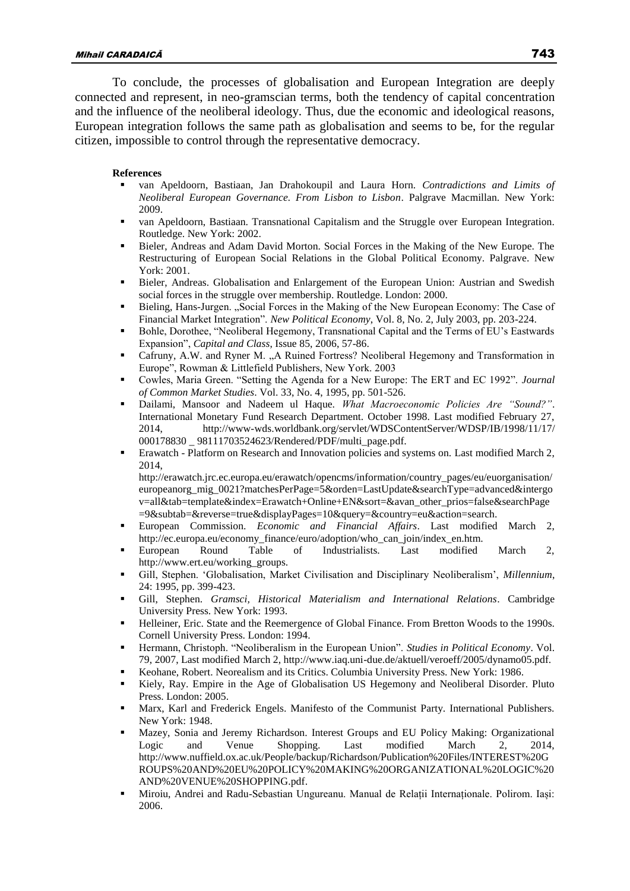To conclude, the processes of globalisation and European Integration are deeply connected and represent, in neo-gramscian terms, both the tendency of capital concentration and the influence of the neoliberal ideology. Thus, due the economic and ideological reasons, European integration follows the same path as globalisation and seems to be, for the regular citizen, impossible to control through the representative democracy.

### **References**

- van Apeldoorn, Bastiaan, Jan Drahokoupil and Laura Horn. *Contradictions and Limits of Neoliberal European Governance. From Lisbon to Lisbon*. Palgrave Macmillan. New York: 2009.
- van Apeldoorn, Bastiaan. Transnational Capitalism and the Struggle over European Integration. Routledge. New York: 2002.
- Bieler, Andreas and Adam David Morton. Social Forces in the Making of the New Europe. The Restructuring of European Social Relations in the Global Political Economy. Palgrave. New York: 2001.
- Bieler, Andreas. Globalisation and Enlargement of the European Union: Austrian and Swedish social forces in the struggle over membership. Routledge. London: 2000.
- Bieling, Hans-Jurgen. "Social Forces in the Making of the New European Economy: The Case of Financial Market Integration". *New Political Economy*, Vol. 8, No. 2, July 2003, pp. 203-224.
- Bohle, Dorothee, "Neoliberal Hegemony, Transnational Capital and the Terms of EU's Eastwards Expansion", *Capital and Class*, Issue 85, 2006, 57-86.
- Cafruny, A.W. and Ryner M. "A Ruined Fortress? Neoliberal Hegemony and Transformation in Europe", Rowman & Littlefield Publishers, New York. 2003
- Cowles, Maria Green. "Setting the Agenda for a New Europe: The ERT and EC 1992". *Journal of Common Market Studies*. Vol. 33, No. 4, 1995, pp. 501-526.
- Dailami, Mansoor and Nadeem ul Haque. *What Macroeconomic Policies Are "Sound?"*. International Monetary Fund Research Department. October 1998. Last modified February 27, 2014, http://www-wds.worldbank.org/servlet/WDSContentServer/WDSP/IB/1998/11/17/ 000178830 \_ 98111703524623/Rendered/PDF/multi\_page.pdf.
- Erawatch Platform on Research and Innovation policies and systems on. Last modified March 2, 2014,

http://erawatch.jrc.ec.europa.eu/erawatch/opencms/information/country\_pages/eu/euorganisation/ europeanorg\_mig\_0021?matchesPerPage=5&orden=LastUpdate&searchType=advanced&intergo v=all&tab=template&index=Erawatch+Online+EN&sort=&avan\_other\_prios=false&searchPage =9&subtab=&reverse=true&displayPages=10&query=&country=eu&action=search.

- European Commission. *Economic and Financial Affairs*. Last modified March 2, http://ec.europa.eu/economy\_finance/euro/adoption/who\_can\_join/index\_en.htm.
- European Round Table of Industrialists. Last modified March 2, http://www.ert.eu/working\_groups.
- Gill, Stephen. 'Globalisation, Market Civilisation and Disciplinary Neoliberalism', *Millennium*, 24: 1995, pp. 399-423.
- Gill, Stephen. *Gramsci, Historical Materialism and International Relations*. Cambridge University Press. New York: 1993.
- Helleiner, Eric. State and the Reemergence of Global Finance. From Bretton Woods to the 1990s. Cornell University Press. London: 1994.
- Hermann, Christoph. "Neoliberalism in the European Union". *Studies in Political Economy*. Vol. 79, 2007, Last modified March 2, http://www.iaq.uni-due.de/aktuell/veroeff/2005/dynamo05.pdf.
- Keohane, Robert. Neorealism and its Critics. Columbia University Press. New York: 1986.
- Kiely, Ray. Empire in the Age of Globalisation US Hegemony and Neoliberal Disorder. Pluto Press. London: 2005.
- Marx, Karl and Frederick Engels. Manifesto of the Communist Party. International Publishers. New York: 1948.
- Mazey, Sonia and Jeremy Richardson. Interest Groups and EU Policy Making: Organizational Logic and Venue Shopping. Last modified March 2, 2014, [http://www.nuffield.ox.ac.uk/People/backup/Richardson/Publication%20Files/INTEREST%20G](http://www.nuffield.ox.ac.uk/People/backup/Richardson/Publication%20Files/INTEREST%20GROUPS%20AND%20EU%20POLICY%20MAKING%20ORGANIZATIONAL%20LOGIC%20AND%20VENUE%20SHOPPING.pdf) [ROUPS%20AND%20EU%20POLICY%20MAKING%20ORGANIZATIONAL%20LOGIC%20](http://www.nuffield.ox.ac.uk/People/backup/Richardson/Publication%20Files/INTEREST%20GROUPS%20AND%20EU%20POLICY%20MAKING%20ORGANIZATIONAL%20LOGIC%20AND%20VENUE%20SHOPPING.pdf) [AND%20VENUE%20SHOPPING.pdf.](http://www.nuffield.ox.ac.uk/People/backup/Richardson/Publication%20Files/INTEREST%20GROUPS%20AND%20EU%20POLICY%20MAKING%20ORGANIZATIONAL%20LOGIC%20AND%20VENUE%20SHOPPING.pdf)
- Miroiu, Andrei and Radu-Sebastian Ungureanu. Manual de Relații Internaționale. Polirom. Iași: 2006.